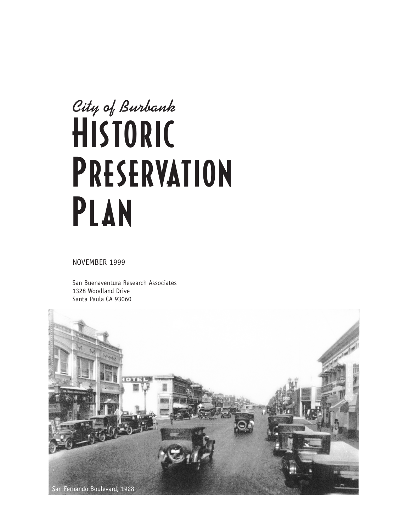# **City of Burbank** HISTORIC **PRESERVATION** Plan

NOVEMBER 1999

San Buenaventura Research Associates 1328 Woodland Drive Santa Paula CA 93060

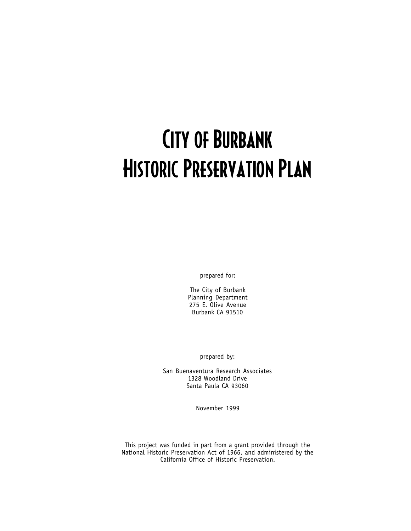## City of Burbank Historic Preservation Plan

prepared for:

The City of Burbank Planning Department 275 E. Olive Avenue Burbank CA 91510

prepared by:

San Buenaventura Research Associates 1328 Woodland Drive Santa Paula CA 93060

November 1999

This project was funded in part from a grant provided through the National Historic Preservation Act of 1966, and administered by the California Office of Historic Preservation.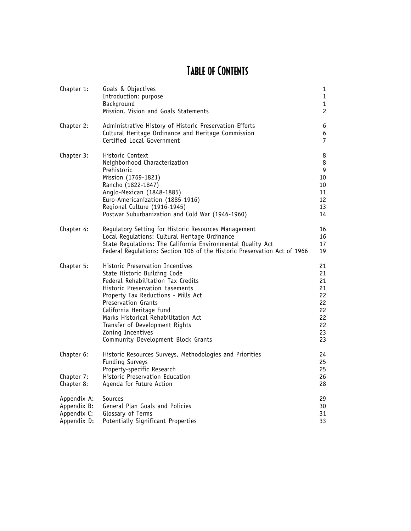### Table of Contents

| Chapter 1:                                               | Goals & Objectives<br>Introduction: purpose<br>Background<br>Mission, Vision and Goals Statements                                                                                                                                                                                                                                                                                     | $\mathbf{1}$<br>$1\,$<br>$\mathbf{1}$<br>$\overline{c}$        |
|----------------------------------------------------------|---------------------------------------------------------------------------------------------------------------------------------------------------------------------------------------------------------------------------------------------------------------------------------------------------------------------------------------------------------------------------------------|----------------------------------------------------------------|
| Chapter 2:                                               | Administrative History of Historic Preservation Efforts<br>Cultural Heritage Ordinance and Heritage Commission<br>Certified Local Government                                                                                                                                                                                                                                          | 6<br>6<br>7                                                    |
| Chapter 3:                                               | Historic Context<br>Neighborhood Characterization<br>Prehistoric<br>Mission (1769-1821)<br>Rancho (1822-1847)<br>Anglo-Mexican (1848-1885)<br>Euro-Americanization (1885-1916)<br>Regional Culture (1916-1945)<br>Postwar Suburbanization and Cold War (1946-1960)                                                                                                                    | 8<br>8<br>9<br>10<br>$10\,$<br>11<br>12<br>13<br>14            |
| Chapter 4:                                               | Regulatory Setting for Historic Resources Management<br>Local Regulations: Cultural Heritage Ordinance<br>State Regulations: The California Environmental Quality Act<br>Federal Regulations: Section 106 of the Historic Preservation Act of 1966                                                                                                                                    | 16<br>16<br>17<br>19                                           |
| Chapter 5:                                               | <b>Historic Preservation Incentives</b><br>State Historic Building Code<br>Federal Rehabilitation Tax Credits<br>Historic Preservation Easements<br>Property Tax Reductions - Mills Act<br><b>Preservation Grants</b><br>California Heritage Fund<br>Marks Historical Rehabilitation Act<br>Transfer of Development Rights<br>Zoning Incentives<br>Community Development Block Grants | 21<br>21<br>21<br>21<br>22<br>22<br>22<br>22<br>22<br>23<br>23 |
| Chapter 6:<br>Chapter 7:<br>Chapter 8:                   | Historic Resources Surveys, Methodologies and Priorities<br><b>Funding Surveys</b><br>Property-specific Research<br>Historic Preservation Education<br>Agenda for Future Action                                                                                                                                                                                                       | 24<br>25<br>25<br>26<br>28                                     |
| Appendix A:<br>Appendix B:<br>Appendix C:<br>Appendix D: | Sources<br>General Plan Goals and Policies<br>Glossary of Terms<br>Potentially Significant Properties                                                                                                                                                                                                                                                                                 | 29<br>30<br>31<br>33                                           |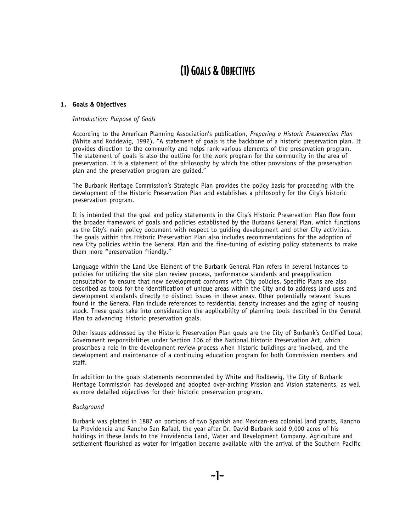#### **1. Goals & Objectives**

#### *Introduction: Purpose of Goals*

According to the American Planning Association's publication, *Preparing a Historic Preservation Plan*  (White and Roddewig, 1992), "A statement of goals is the backbone of a historic preservation plan. It provides direction to the community and helps rank various elements of the preservation program. The statement of goals is also the outline for the work program for the community in the area of preservation. It is a statement of the philosophy by which the other provisions of the preservation plan and the preservation program are guided."

The Burbank Heritage Commission's Strategic Plan provides the policy basis for proceeding with the development of the Historic Preservation Plan and establishes a philosophy for the City's historic preservation program.

It is intended that the goal and policy statements in the City's Historic Preservation Plan flow from the broader framework of goals and policies established by the Burbank General Plan, which functions as the City's main policy document with respect to guiding development and other City activities. The goals within this Historic Preservation Plan also includes recommendations for the adoption of new City policies within the General Plan and the fine-tuning of existing policy statements to make them more "preservation friendly."

Language within the Land Use Element of the Burbank General Plan refers in several instances to policies for utilizing the site plan review process, performance standards and preapplication consultation to ensure that new development conforms with City policies. Specific Plans are also described as tools for the identification of unique areas within the City and to address land uses and development standards directly to distinct issues in these areas. Other potentially relevant issues found in the General Plan include references to residential density increases and the aging of housing stock. These goals take into consideration the applicability of planning tools described in the General Plan to advancing historic preservation goals.

Other issues addressed by the Historic Preservation Plan goals are the City of Burbank's Certified Local Government responsibilities under Section 106 of the National Historic Preservation Act, which proscribes a role in the development review process when historic buildings are involved, and the development and maintenance of a continuing education program for both Commission members and staff.

In addition to the goals statements recommended by White and Roddewig, the City of Burbank Heritage Commission has developed and adopted over-arching Mission and Vision statements, as well as more detailed objectives for their historic preservation program.

#### *Background*

Burbank was platted in 1887 on portions of two Spanish and Mexican-era colonial land grants, Rancho La Providencia and Rancho San Rafael, the year after Dr. David Burbank sold 9,000 acres of his holdings in these lands to the Providencia Land, Water and Development Company. Agriculture and settlement flourished as water for irrigation became available with the arrival of the Southern Pacific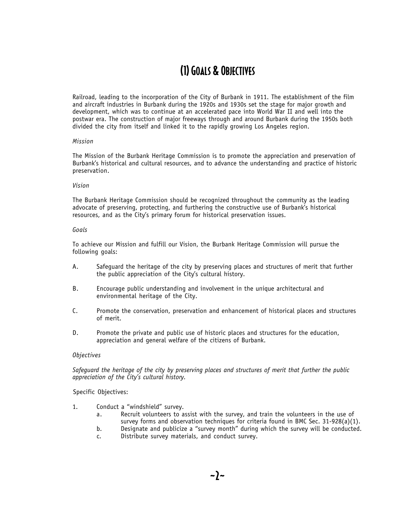Railroad, leading to the incorporation of the City of Burbank in 1911. The establishment of the film and aircraft industries in Burbank during the 1920s and 1930s set the stage for major growth and development, which was to continue at an accelerated pace into World War II and well into the postwar era. The construction of major freeways through and around Burbank during the 1950s both divided the city from itself and linked it to the rapidly growing Los Angeles region.

#### *Mission*

The Mission of the Burbank Heritage Commission is to promote the appreciation and preservation of Burbank's historical and cultural resources, and to advance the understanding and practice of historic preservation.

#### *Vision*

The Burbank Heritage Commission should be recognized throughout the community as the leading advocate of preserving, protecting, and furthering the constructive use of Burbank's historical resources, and as the City's primary forum for historical preservation issues.

#### *Goals*

To achieve our Mission and fulfill our Vision, the Burbank Heritage Commission will pursue the following goals:

- A. Safeguard the heritage of the city by preserving places and structures of merit that further the public appreciation of the City's cultural history.
- B. Encourage public understanding and involvement in the unique architectural and environmental heritage of the City.
- C. Promote the conservation, preservation and enhancement of historical places and structures of merit.
- D. Promote the private and public use of historic places and structures for the education, appreciation and general welfare of the citizens of Burbank.

#### *Objectives*

*Safeguard the heritage of the city by preserving places and structures of merit that further the public appreciation of the City's cultural history.*

#### Specific Objectives:

- 1. Conduct a "windshield" survey.
	- a. Recruit volunteers to assist with the survey, and train the volunteers in the use of survey forms and observation techniques for criteria found in BMC Sec. 31-928(a)(1).
	- b. Designate and publicize a "survey month" during which the survey will be conducted. c. Distribute survey materials, and conduct survey.
	-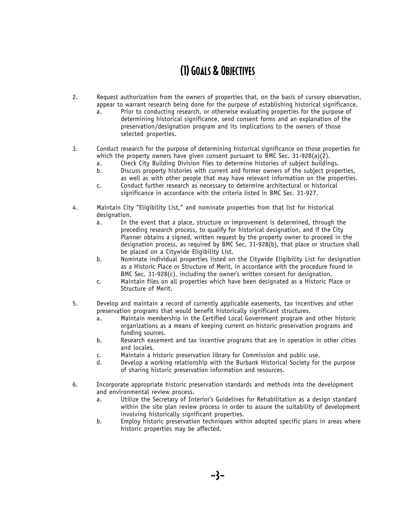- 2. Request authorization from the owners of properties that, on the basis of cursory observation, appear to warrant research being done for the purpose of establishing historical significance.
	- a. Prior to conducting research, or otherwise evaluating properties for the purpose of determining historical significance, send consent forms and an explanation of the preservation/designation program and its implications to the owners of those selected properties.
- 3. Conduct research for the purpose of determining historical significance on those properties for which the property owners have given consent pursuant to BMC Sec. 31-928(a)(2).
	- a. Check City Building Division files to determine histories of subject buildings.
	- Discuss property histories with current and former owners of the subject properties,
	- as well as with other people that may have relevant information on the properties. c. Conduct further research as necessary to determine architectural or historical
	- significance in accordance with the criteria listed in BMC Sec. 31-927.
- 4. Maintain City "Eligibility List," and nominate properties from that list for historical designation.
	- a. In the event that a place, structure or improvement is determined, through the preceding research process, to qualify for historical designation, and if the City Planner obtains a signed, written request by the property owner to proceed in the designation process, as required by BMC Sec. 31-928(b), that place or structure shall be placed on a Citywide Eligibility List.
	- b. Nominate individual properties listed on the Citywide Eligibility List for designation as a Historic Place or Structure of Merit, in accordance with the procedure found in BMC Sec. 31-928(c), including the owner's written consent for designation.
	- c. Maintain files on all properties which have been designated as a Historic Place or Structure of Merit.
- 5. Develop and maintain a record of currently applicable easements, tax incentives and other preservation programs that would benefit historically significant structures.
	- a. Maintain membership in the Certified Local Government program and other historic organizations as a means of keeping current on historic preservation programs and funding sources.
	- b. Research easement and tax incentive programs that are in operation in other cities and locales.
	- c. Maintain a historic preservation library for Commission and public use.
	- d. Develop a working relationship with the Burbank Historical Society for the purpose of sharing historic preservation information and resources.
- 6. Incorporate appropriate historic preservation standards and methods into the development and environmental review process.
	- a. Utilize the Secretary of Interior's Guidelines for Rehabilitation as a design standard within the site plan review process in order to assure the suitability of development involving historically significant properties.
	- b. Employ historic preservation techniques within adopted specific plans in areas where historic properties may be affected.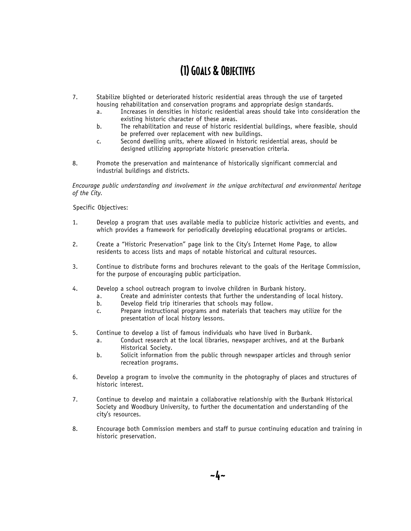- 7. Stabilize blighted or deteriorated historic residential areas through the use of targeted housing rehabilitation and conservation programs and appropriate design standards.
	- a. Increases in densities in historic residential areas should take into consideration the existing historic character of these areas.
	- b. The rehabilitation and reuse of historic residential buildings, where feasible, should be preferred over replacement with new buildings.
	- c. Second dwelling units, where allowed in historic residential areas, should be designed utilizing appropriate historic preservation criteria.
- 8. Promote the preservation and maintenance of historically significant commercial and industrial buildings and districts.

*Encourage public understanding and involvement in the unique architectural and environmental heritage of the City.*

Specific Objectives:

- 1. Develop a program that uses available media to publicize historic activities and events, and which provides a framework for periodically developing educational programs or articles.
- 2. Create a "Historic Preservation" page link to the City's Internet Home Page, to allow residents to access lists and maps of notable historical and cultural resources.
- 3. Continue to distribute forms and brochures relevant to the goals of the Heritage Commission, for the purpose of encouraging public participation.
- 4. Develop a school outreach program to involve children in Burbank history.
	- a. Create and administer contests that further the understanding of local history.<br>b. Develop field trip itineraries that schools may follow.
		- Develop field trip itineraries that schools may follow.
		- c. Prepare instructional programs and materials that teachers may utilize for the presentation of local history lessons.
- 5. Continue to develop a list of famous individuals who have lived in Burbank.
	- a. Conduct research at the local libraries, newspaper archives, and at the Burbank Historical Society.
	- b. Solicit information from the public through newspaper articles and through senior recreation programs.
- 6. Develop a program to involve the community in the photography of places and structures of historic interest.
- 7. Continue to develop and maintain a collaborative relationship with the Burbank Historical Society and Woodbury University, to further the documentation and understanding of the city's resources.
- 8. Encourage both Commission members and staff to pursue continuing education and training in historic preservation.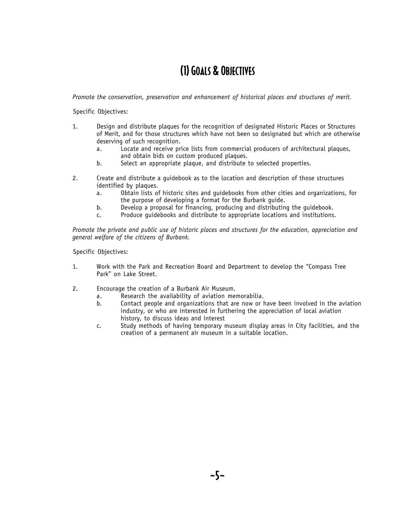*Promote the conservation, preservation and enhancement of historical places and structures of merit.*

Specific Objectives:

- 1. Design and distribute plaques for the recognition of designated Historic Places or Structures of Merit, and for those structures which have not been so designated but which are otherwise deserving of such recognition.
	- a. Locate and receive price lists from commercial producers of architectural plaques, and obtain bids on custom produced plaques.
	- b. Select an appropriate plaque, and distribute to selected properties.
- 2. Create and distribute a guidebook as to the location and description of those structures identified by plaques.
	- a. Obtain lists of historic sites and guidebooks from other cities and organizations, for the purpose of developing a format for the Burbank guide.
	- b. Develop a proposal for financing, producing and distributing the guidebook.
	- c. Produce guidebooks and distribute to appropriate locations and institutions.

*Promote the private and public use of historic places and structures for the education, appreciation and general welfare of the citizens of Burbank.*

Specific Objectives:

- 1. Work with the Park and Recreation Board and Department to develop the "Compass Tree Park" on Lake Street.
- 2. Encourage the creation of a Burbank Air Museum.
	- a. Research the availability of aviation memorabilia.<br>b. Contact people and organizations that are now or h
	- Contact people and organizations that are now or have been involved in the aviation industry, or who are interested in furthering the appreciation of local aviation history, to discuss ideas and interest
	- c. Study methods of having temporary museum display areas in City facilities, and the creation of a permanent air museum in a suitable location.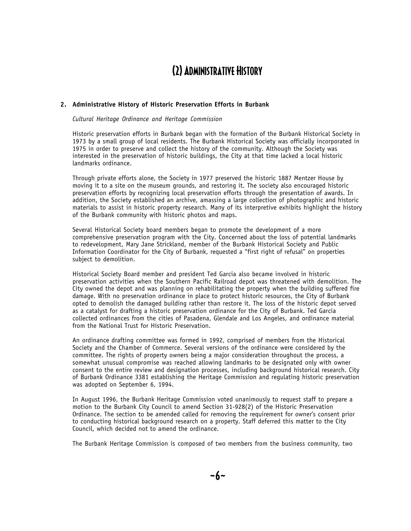### (2) Administrative History

### **2. Administrative History of Historic Preservation Efforts in Burbank**

*Cultural Heritage Ordinance and Heritage Commission*

Historic preservation efforts in Burbank began with the formation of the Burbank Historical Society in 1973 by a small group of local residents. The Burbank Historical Society was officially incorporated in 1975 in order to preserve and collect the history of the community. Although the Society was interested in the preservation of historic buildings, the City at that time lacked a local historic landmarks ordinance.

Through private efforts alone, the Society in 1977 preserved the historic 1887 Mentzer House by moving it to a site on the museum grounds, and restoring it. The society also encouraged historic preservation efforts by recognizing local preservation efforts through the presentation of awards. In addition, the Society established an archive, amassing a large collection of photographic and historic materials to assist in historic property research. Many of its interpretive exhibits highlight the history of the Burbank community with historic photos and maps.

Several Historical Society board members began to promote the development of a more comprehensive preservation program with the City. Concerned about the loss of potential landmarks to redevelopment, Mary Jane Strickland, member of the Burbank Historical Society and Public Information Coordinator for the City of Burbank, requested a "first right of refusal" on properties subject to demolition.

Historical Society Board member and president Ted Garcia also became involved in historic preservation activities when the Southern Pacific Railroad depot was threatened with demolition. The City owned the depot and was planning on rehabilitating the property when the building suffered fire damage. With no preservation ordinance in place to protect historic resources, the City of Burbank opted to demolish the damaged building rather than restore it. The loss of the historic depot served as a catalyst for drafting a historic preservation ordinance for the City of Burbank. Ted Garcia collected ordinances from the cities of Pasadena, Glendale and Los Angeles, and ordinance material from the National Trust for Historic Preservation.

An ordinance drafting committee was formed in 1992, comprised of members from the Historical Society and the Chamber of Commerce. Several versions of the ordinance were considered by the committee. The rights of property owners being a major consideration throughout the process, a somewhat unusual compromise was reached allowing landmarks to be designated only with owner consent to the entire review and designation processes, including background historical research. City of Burbank Ordinance 3381 establishing the Heritage Commission and regulating historic preservation was adopted on September 6, 1994.

In August 1996, the Burbank Heritage Commission voted unanimously to request staff to prepare a motion to the Burbank City Council to amend Section 31-928(2) of the Historic Preservation Ordinance. The section to be amended called for removing the requirement for owner's consent prior to conducting historical background research on a property. Staff deferred this matter to the City Council, which decided not to amend the ordinance.

The Burbank Heritage Commission is composed of two members from the business community, two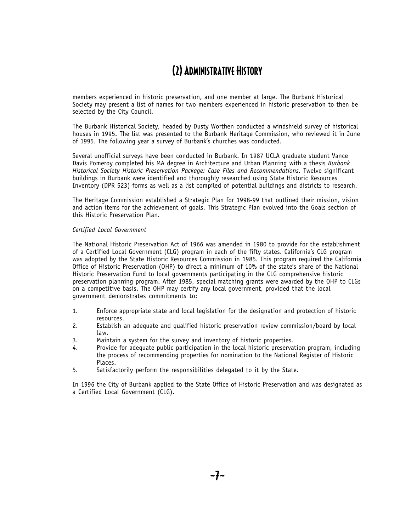### (2) Administrative History

members experienced in historic preservation, and one member at large. The Burbank Historical Society may present a list of names for two members experienced in historic preservation to then be selected by the City Council.

The Burbank Historical Society, headed by Dusty Worthen conducted a windshield survey of historical houses in 1995. The list was presented to the Burbank Heritage Commission, who reviewed it in June of 1995. The following year a survey of Burbank's churches was conducted.

Several unofficial surveys have been conducted in Burbank. In 1987 UCLA graduate student Vance Davis Pomeroy completed his MA degree in Architecture and Urban Planning with a thesis *Burbank Historical Society Historic Preservation Package: Case Files and Recommendations.* Twelve significant buildings in Burbank were identified and thoroughly researched using State Historic Resources Inventory (DPR 523) forms as well as a list compiled of potential buildings and districts to research.

The Heritage Commission established a Strategic Plan for 1998-99 that outlined their mission, vision and action items for the achievement of goals. This Strategic Plan evolved into the Goals section of this Historic Preservation Plan.

#### *Certified Local Government*

The National Historic Preservation Act of 1966 was amended in 1980 to provide for the establishment of a Certified Local Government (CLG) program in each of the fifty states. California's CLG program was adopted by the State Historic Resources Commission in 1985. This program required the California Office of Historic Preservation (OHP) to direct a minimum of 10% of the state's share of the National Historic Preservation Fund to local governments participating in the CLG comprehensive historic preservation planning program. After 1985, special matching grants were awarded by the OHP to CLGs on a competitive basis. The OHP may certify any local government, provided that the local government demonstrates commitments to:

- 1. Enforce appropriate state and local legislation for the designation and protection of historic resources.
- 2. Establish an adequate and qualified historic preservation review commission/board by local law.
- 3. Maintain a system for the survey and inventory of historic properties.
- 4. Provide for adequate public participation in the local historic preservation program, including the process of recommending properties for nomination to the National Register of Historic Places.
- 5. Satisfactorily perform the responsibilities delegated to it by the State.

In 1996 the City of Burbank applied to the State Office of Historic Preservation and was designated as a Certified Local Government (CLG).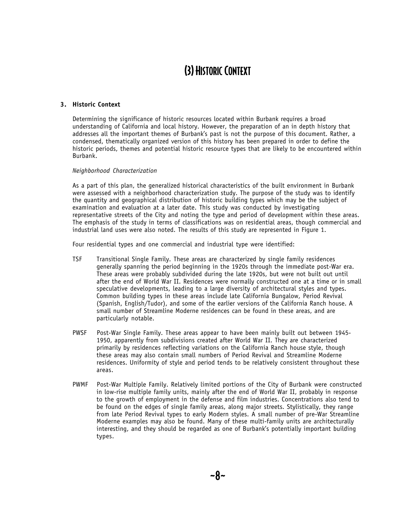#### **3. Historic Context**

Determining the significance of historic resources located within Burbank requires a broad understanding of California and local history. However, the preparation of an in depth history that addresses all the important themes of Burbank's past is not the purpose of this document. Rather, a condensed, thematically organized version of this history has been prepared in order to define the historic periods, themes and potential historic resource types that are likely to be encountered within Burbank.

#### *Neighborhood Characterization*

As a part of this plan, the generalized historical characteristics of the built environment in Burbank were assessed with a neighborhood characterization study. The purpose of the study was to identify the quantity and geographical distribution of historic building types which may be the subject of examination and evaluation at a later date. This study was conducted by investigating representative streets of the City and noting the type and period of development within these areas. The emphasis of the study in terms of classifications was on residential areas, though commercial and industrial land uses were also noted. The results of this study are represented in Figure 1.

Four residential types and one commercial and industrial type were identified:

- TSF Transitional Single Family. These areas are characterized by single family residences generally spanning the period beginning in the 1920s through the immediate post-War era. These areas were probably subdivided during the late 1920s, but were not built out until after the end of World War II. Residences were normally constructed one at a time or in small speculative developments, leading to a large diversity of architectural styles and types. Common building types in these areas include late California Bungalow, Period Revival (Spanish, English/Tudor), and some of the earlier versions of the California Ranch house. A small number of Streamline Moderne residences can be found in these areas, and are particularly notable.
- PWSF Post-War Single Family. These areas appear to have been mainly built out between 1945- 1950, apparently from subdivisions created after World War II. They are characterized primarily by residences reflecting variations on the California Ranch house style, though these areas may also contain small numbers of Period Revival and Streamline Moderne residences. Uniformity of style and period tends to be relatively consistent throughout these areas.
- PWMF Post-War Multiple Family. Relatively limited portions of the City of Burbank were constructed in low-rise multiple family units, mainly after the end of World War II, probably in response to the growth of employment in the defense and film industries. Concentrations also tend to be found on the edges of single family areas, along major streets. Stylistically, they range from late Period Revival types to early Modern styles. A small number of pre-War Streamline Moderne examples may also be found. Many of these multi-family units are architecturally interesting, and they should be regarded as one of Burbank's potentially important building types.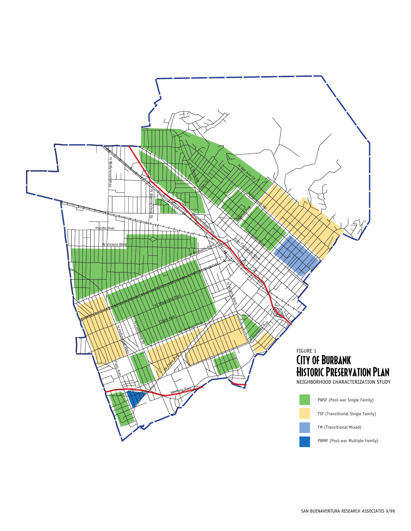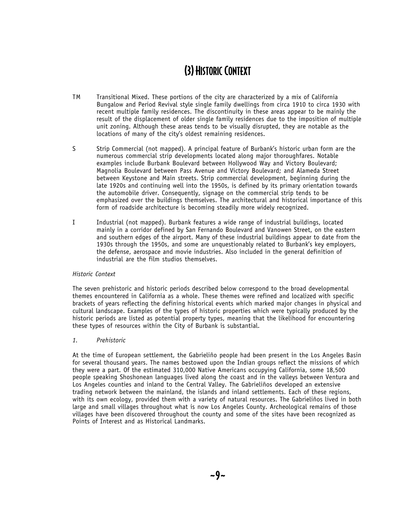- TM Transitional Mixed. These portions of the city are characterized by a mix of California Bungalow and Period Revival style single family dwellings from circa 1910 to circa 1930 with recent multiple family residences. The discontinuity in these areas appear to be mainly the result of the displacement of older single family residences due to the imposition of multiple unit zoning. Although these areas tends to be visually disrupted, they are notable as the locations of many of the city's oldest remaining residences.
- S Strip Commercial (not mapped). A principal feature of Burbank's historic urban form are the numerous commercial strip developments located along major thoroughfares. Notable examples include Burbank Boulevard between Hollywood Way and Victory Boulevard; Magnolia Boulevard between Pass Avenue and Victory Boulevard; and Alameda Street between Keystone and Main streets. Strip commercial development, beginning during the late 1920s and continuing well into the 1950s, is defined by its primary orientation towards the automobile driver. Consequently, signage on the commercial strip tends to be emphasized over the buildings themselves. The architectural and historical importance of this form of roadside architecture is becoming steadily more widely recognized.
- I Industrial (not mapped). Burbank features a wide range of industrial buildings, located mainly in a corridor defined by San Fernando Boulevard and Vanowen Street, on the eastern and southern edges of the airport. Many of these industrial buildings appear to date from the 1930s through the 1950s, and some are unquestionably related to Burbank's key employers, the defense, aerospace and movie industries. Also included in the general definition of industrial are the film studios themselves.

### *Historic Context*

The seven prehistoric and historic periods described below correspond to the broad developmental themes encountered in California as a whole. These themes were refined and localized with specific brackets of years reflecting the defining historical events which marked major changes in physical and cultural landscape. Examples of the types of historic properties which were typically produced by the historic periods are listed as potential property types, meaning that the likelihood for encountering these types of resources within the City of Burbank is substantial.

#### *1. Prehistoric*

At the time of European settlement, the Gabrieliño people had been present in the Los Angeles Basin for several thousand years. The names bestowed upon the Indian groups reflect the missions of which they were a part. Of the estimated 310,000 Native Americans occupying California, some 18,500 people speaking Shoshonean languages lived along the coast and in the valleys between Ventura and Los Angeles counties and inland to the Central Valley. The Gabrieliños developed an extensive trading network between the mainland, the islands and inland settlements. Each of these regions, with its own ecology, provided them with a variety of natural resources. The Gabrieliños lived in both large and small villages throughout what is now Los Angeles County. Archeological remains of those villages have been discovered throughout the county and some of the sites have been recognized as Points of Interest and as Historical Landmarks.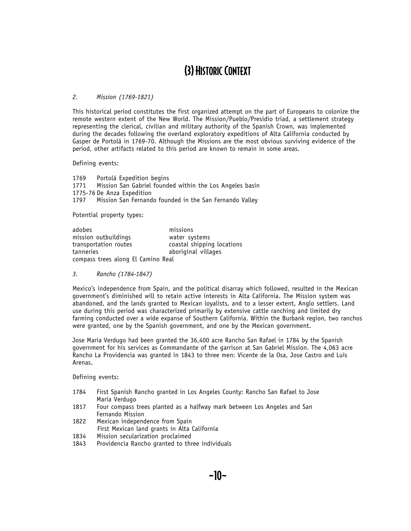#### *2. Mission (1769-1821)*

This historical period constitutes the first organized attempt on the part of Europeans to colonize the remote western extent of the New World. The Mission/Pueblo/Presidio triad, a settlement strategy representing the clerical, civilian and military authority of the Spanish Crown, was implemented during the decades following the overland exploratory expeditions of Alta California conducted by Gasper de Portolá in 1769-70. Although the Missions are the most obvious surviving evidence of the period, other artifacts related to this period are known to remain in some areas.

Defining events:

1769 Portolá Expedition begins 1771 Mission San Gabriel founded within the Los Angeles basin 1775-76 De Anza Expedition 1797 Mission San Fernando founded in the San Fernando Valley

Potential property types:

| adobes                             | missions                   |
|------------------------------------|----------------------------|
| mission outbuildings               | water systems              |
| transportation routes              | coastal shipping locations |
| tanneries                          | aboriginal villages        |
| compass trees along El Camino Real |                            |

*3. Rancho (1784-1847)*

Mexico's independence from Spain, and the political disarray which followed, resulted in the Mexican government's diminished will to retain active interests in Alta California. The Mission system was abandoned, and the lands granted to Mexican loyalists, and to a lesser extent, Anglo settlers. Land use during this period was characterized primarily by extensive cattle ranching and limited dry farming conducted over a wide expanse of Southern California. Within the Burbank region, two ranchos were granted, one by the Spanish government, and one by the Mexican government.

Jose Maria Verdugo had been granted the 36,400 acre Rancho San Rafael in 1784 by the Spanish government for his services as Commandante of the garrison at San Gabriel Mission. The 4,063 acre Rancho La Providencia was granted in 1843 to three men: Vicente de la Osa, Jose Castro and Luis Arenas.

- 1784 First Spanish Rancho granted in Los Angeles County: Rancho San Rafael to Jose Maria Verdugo
- 1817 Four compass trees planted as a halfway mark between Los Angeles and San Fernando Mission
- 1822 Mexican independence from Spain First Mexican land grants in Alta California
- 1834 Mission secularization proclaimed
- 1843 Providencia Rancho granted to three individuals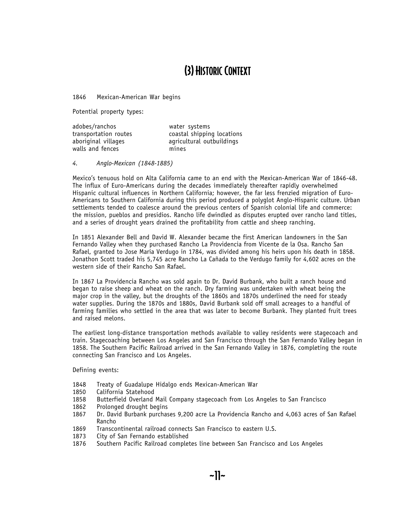1846 Mexican-American War begins

Potential property types:

| adobes/ranchos        | water systems              |
|-----------------------|----------------------------|
| transportation routes | coastal shipping locations |
| aboriginal villages   | agricultural outbuildings  |
| walls and fences      | mines                      |

*4. Anglo-Mexican (1848-1885)*

Mexico's tenuous hold on Alta California came to an end with the Mexican-American War of 1846-48. The influx of Euro-Americans during the decades immediately thereafter rapidly overwhelmed Hispanic cultural influences in Northern California; however, the far less frenzied migration of Euro-Americans to Southern California during this period produced a polyglot Anglo-Hispanic culture. Urban settlements tended to coalesce around the previous centers of Spanish colonial life and commerce: the mission, pueblos and presidios. Rancho life dwindled as disputes erupted over rancho land titles, and a series of drought years drained the profitability from cattle and sheep ranching.

In 1851 Alexander Bell and David W. Alexander became the first American landowners in the San Fernando Valley when they purchased Rancho La Providencia from Vicente de la Osa. Rancho San Rafael, granted to Jose Maria Verdugo in 1784, was divided among his heirs upon his death in 1858. Jonathon Scott traded his 5,745 acre Rancho La Cañada to the Verdugo family for 4,602 acres on the western side of their Rancho San Rafael.

In 1867 La Providencia Rancho was sold again to Dr. David Burbank, who built a ranch house and began to raise sheep and wheat on the ranch. Dry farming was undertaken with wheat being the major crop in the valley, but the droughts of the 1860s and 1870s underlined the need for steady water supplies. During the 1870s and 1880s, David Burbank sold off small acreages to a handful of farming families who settled in the area that was later to become Burbank. They planted fruit trees and raised melons.

The earliest long-distance transportation methods available to valley residents were stagecoach and train. Stagecoaching between Los Angeles and San Francisco through the San Fernando Valley began in 1858. The Southern Pacific Railroad arrived in the San Fernando Valley in 1876, completing the route connecting San Francisco and Los Angeles.

- 1848 Treaty of Guadalupe Hidalgo ends Mexican-American War<br>1850 California Statehood
- California Statehood
- 1858 Butterfield Overland Mail Company stagecoach from Los Angeles to San Francisco
- 1862 Prolonged drought begins
- 1867 Dr. David Burbank purchases 9,200 acre La Providencia Rancho and 4,063 acres of San Rafael Rancho
- 1869 Transcontinental railroad connects San Francisco to eastern U.S.<br>1873 City of San Fernando established
- City of San Fernando established
- 1876 Southern Pacific Railroad completes line between San Francisco and Los Angeles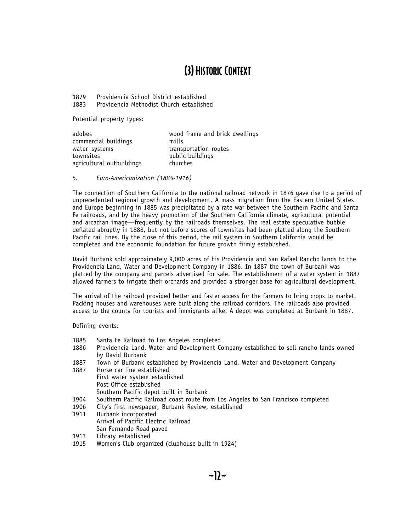1879 Providencia School District established 1883 Providencia Methodist Church established

Potential property types:

| adobes                    | wood frame and brick dwellings |
|---------------------------|--------------------------------|
| commercial buildings      | mills                          |
| water systems             | transportation routes          |
| townsites                 | public buildings               |
| agricultural outbuildings | churches                       |

#### *5. Euro-Americanization (1885-1916)*

The connection of Southern California to the national railroad network in 1876 gave rise to a period of unprecedented regional growth and development. A mass migration from the Eastern United States and Europe beginning in 1885 was precipitated by a rate war between the Southern Pacific and Santa Fe railroads, and by the heavy promotion of the Southern California climate, agricultural potential and arcadian image—frequently by the railroads themselves. The real estate speculative bubble deflated abruptly in 1888, but not before scores of townsites had been platted along the Southern Pacific rail lines. By the close of this period, the rail system in Southern California would be completed and the economic foundation for future growth firmly established.

David Burbank sold approximately 9,000 acres of his Providencia and San Rafael Rancho lands to the Providencia Land, Water and Development Company in 1886. In 1887 the town of Burbank was platted by the company and parcels advertised for sale. The establishment of a water system in 1887 allowed farmers to irrigate their orchards and provided a stronger base for agricultural development.

The arrival of the railroad provided better and faster access for the farmers to bring crops to market. Packing houses and warehouses were built along the railroad corridors. The railroads also provided access to the county for tourists and immigrants alike. A depot was completed at Burbank in 1887.

- 1885 Santa Fe Railroad to Los Angeles completed<br>1886 Providencia Land, Water and Development Co
- Providencia Land, Water and Development Company established to sell rancho lands owned by David Burbank
- 1887 Town of Burbank established by Providencia Land, Water and Development Company
- 1887 Horse car line established First water system established Post Office established Southern Pacific depot built in Burbank
- 1904 Southern Pacific Railroad coast route from Los Angeles to San Francisco completed
- 1906 City's first newspaper, Burbank Review, established
- 1911 Burbank incorporated Arrival of Pacific Electric Railroad San Fernando Road paved
- 1913 Library established
- 1915 Women's Club organized (clubhouse built in 1924)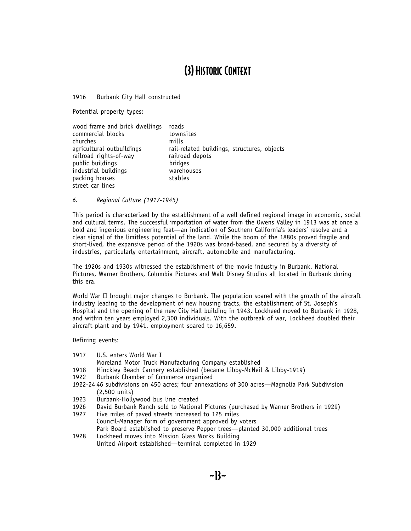1916 Burbank City Hall constructed

Potential property types:

| wood frame and brick dwellings | roads                                       |
|--------------------------------|---------------------------------------------|
| commercial blocks              | townsites                                   |
| churches                       | mills                                       |
| agricultural outbuildings      | rail-related buildings, structures, objects |
| railroad rights-of-way         | railroad depots                             |
| public buildings               | bridges                                     |
| industrial buildings           | warehouses                                  |
| packing houses                 | stables                                     |
| street car lines               |                                             |

*6. Regional Culture (1917-1945)*

This period is characterized by the establishment of a well defined regional image in economic, social and cultural terms. The successful importation of water from the Owens Valley in 1913 was at once a bold and ingenious engineering feat—an indication of Southern California's leaders' resolve and a clear signal of the limitless potential of the land. While the boom of the 1880s proved fragile and short-lived, the expansive period of the 1920s was broad-based, and secured by a diversity of industries, particularly entertainment, aircraft, automobile and manufacturing.

The 1920s and 1930s witnessed the establishment of the movie industry in Burbank. National Pictures, Warner Brothers, Columbia Pictures and Walt Disney Studios all located in Burbank during this era.

World War II brought major changes to Burbank. The population soared with the growth of the aircraft industry leading to the development of new housing tracts, the establishment of St. Joseph's Hospital and the opening of the new City Hall building in 1943. Lockheed moved to Burbank in 1928, and within ten years employed 2,300 individuals. With the outbreak of war, Lockheed doubled their aircraft plant and by 1941, employment soared to 16,659.

- 1917 U.S. enters World War I
- Moreland Motor Truck Manufacturing Company established
- 1918 Hinckley Beach Cannery established (became Libby-McNeil & Libby-1919)
- 1922 Burbank Chamber of Commerce organized
- 1922-24 46 subdivisions on 450 acres; four annexations of 300 acres—Magnolia Park Subdivision (2,500 units)
- 1923 Burbank-Hollywood bus line created
- 1926 David Burbank Ranch sold to National Pictures (purchased by Warner Brothers in 1929)
- 1927 Five miles of paved streets increased to 125 miles Council-Manager form of government approved by voters Park Board established to preserve Pepper trees—planted 30,000 additional trees
- 1928 Lockheed moves into Mission Glass Works Building United Airport established—terminal completed in 1929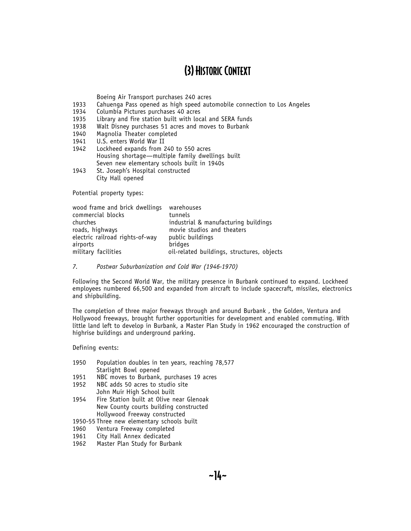Boeing Air Transport purchases 240 acres

- 1933 Cahuenga Pass opened as high speed automobile connection to Los Angeles
- 1934 Columbia Pictures purchases 40 acres
- 1935 Library and fire station built with local and SERA funds<br>1938 Walt Disney purchases 51 acres and moves to Burbank
- Walt Disney purchases 51 acres and moves to Burbank
- 1940 Magnolia Theater completed<br>1941 U.S. enters World War II
- U.S. enters World War II
- 1942 Lockheed expands from 240 to 550 acres Housing shortage—multiple family dwellings built Seven new elementary schools built in 1940s
- 1943 St. Joseph's Hospital constructed City Hall opened

Potential property types:

| wood frame and brick dwellings  | warehouses                                 |
|---------------------------------|--------------------------------------------|
| commercial blocks               | tunnels                                    |
| churches                        | industrial & manufacturing buildings       |
| roads, highways                 | movie studios and theaters                 |
| electric railroad rights-of-way | public buildings                           |
| airports                        | bridges                                    |
| military facilities             | oil-related buildings, structures, objects |

*7. Postwar Suburbanization and Cold War (1946-1970)*

Following the Second World War, the military presence in Burbank continued to expand. Lockheed employees numbered 66,500 and expanded from aircraft to include spacecraft, missiles, electronics and shipbuilding.

The completion of three major freeways through and around Burbank , the Golden, Ventura and Hollywood freeways, brought further opportunities for development and enabled commuting. With little land left to develop in Burbank, a Master Plan Study in 1962 encouraged the construction of highrise buildings and underground parking.

Defining events:

- 1950 Population doubles in ten years, reaching 78,577 Starlight Bowl opened
- 1951 NBC moves to Burbank, purchases 19 acres<br>1952 NBC adds 50 acres to studio site
- NBC adds 50 acres to studio site John Muir High School built
- 1954 Fire Station built at Olive near Glenoak New County courts building constructed Hollywood Freeway constructed

1950-55 Three new elementary schools built

- 1960 Ventura Freeway completed<br>1961 City Hall Annex dedicated
- City Hall Annex dedicated
- 1962 Master Plan Study for Burbank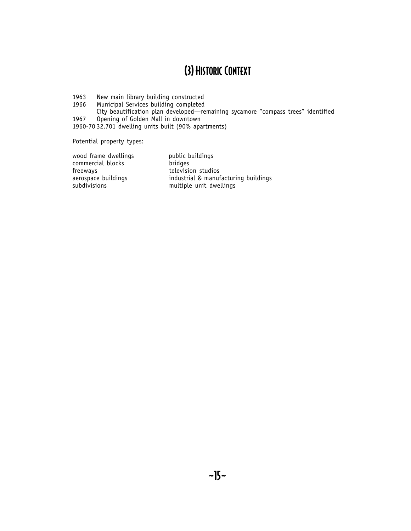1963 New main library building constructed<br>1966 Municipal Services building completed

Municipal Services building completed

City beautification plan developed—remaining sycamore "compass trees" identified 1967 Opening of Golden Mall in downtown

1960-70 32,701 dwelling units built (90% apartments)

Potential property types:

wood frame dwellings public buildings<br>
commercial blocks bridges commercial blocks<br>freeways freeways television studios<br>aerospace buildings industrial & manuf

aerospace buildings<br>subdivisions industrial & manufacturing buildings<br>multiple unit dwellings multiple unit dwellings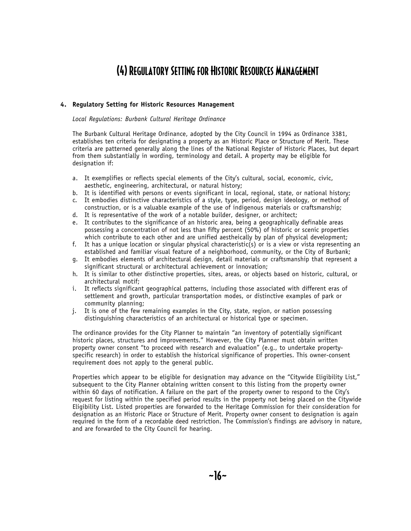### **4. Regulatory Setting for Historic Resources Management**

#### *Local Regulations: Burbank Cultural Heritage Ordinance*

The Burbank Cultural Heritage Ordinance, adopted by the City Council in 1994 as Ordinance 3381, establishes ten criteria for designating a property as an Historic Place or Structure of Merit. These criteria are patterned generally along the lines of the National Register of Historic Places, but depart from them substantially in wording, terminology and detail. A property may be eligible for designation if:

- a. It exemplifies or reflects special elements of the City's cultural, social, economic, civic, aesthetic, engineering, architectural, or natural history;
- b. It is identified with persons or events significant in local, regional, state, or national history; c. It embodies distinctive characteristics of a style, type, period, design ideology, or method of
- construction, or is a valuable example of the use of indigenous materials or craftsmanship; d. It is representative of the work of a notable builder, designer, or architect;
- e. It contributes to the significance of an historic area, being a geographically definable areas possessing a concentration of not less than fifty percent (50%) of historic or scenic properties which contribute to each other and are unified aestheically by plan of physical development;
- f. It has a unique location or singular physical characteristic(s) or is a view or vista representing an established and familiar visual feature of a neighborhood, community, or the City of Burbank;
- g. It embodies elements of architectural design, detail materials or craftsmanship that represent a significant structural or architectural achievement or innovation;
- h. It is similar to other distinctive properties, sites, areas, or objects based on historic, cultural, or architectural motif;
- i. It reflects significant geographical patterns, including those associated with different eras of settlement and growth, particular transportation modes, or distinctive examples of park or community planning;
- j. It is one of the few remaining examples in the City, state, region, or nation possessing distinguishing characteristics of an architectural or historical type or specimen.

The ordinance provides for the City Planner to maintain "an inventory of potentially significant historic places, structures and improvements." However, the City Planner must obtain written property owner consent "to proceed with research and evaluation" (e.g., to undertake propertyspecific research) in order to establish the historical significance of properties. This owner-consent requirement does not apply to the general public.

Properties which appear to be eligible for designation may advance on the "Citywide Eligibility List," subsequent to the City Planner obtaining written consent to this listing from the property owner within 60 days of notification. A failure on the part of the property owner to respond to the City's request for listing within the specified period results in the property not being placed on the Citywide Eligibility List. Listed properties are forwarded to the Heritage Commission for their consideration for designation as an Historic Place or Structure of Merit. Property owner consent to designation is again required in the form of a recordable deed restriction. The Commission's findings are advisory in nature, and are forwarded to the City Council for hearing.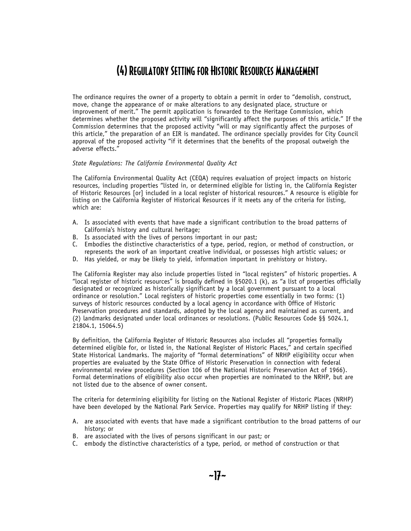The ordinance requires the owner of a property to obtain a permit in order to "demolish, construct, move, change the appearance of or make alterations to any designated place, structure or improvement of merit." The permit application is forwarded to the Heritage Commission, which determines whether the proposed activity will "significantly affect the purposes of this article." If the Commission determines that the proposed activity "will or may significantly affect the purposes of this article," the preparation of an EIR is mandated. The ordinance specially provides for City Council approval of the proposed activity "if it determines that the benefits of the proposal outweigh the adverse effects."

#### *State Regulations: The California Environmental Quality Act*

The California Environmental Quality Act (CEQA) requires evaluation of project impacts on historic resources, including properties "listed in, or determined eligible for listing in, the California Register of Historic Resources [or] included in a local register of historical resources." A resource is eligible for listing on the California Register of Historical Resources if it meets any of the criteria for listing, which are:

- A. Is associated with events that have made a significant contribution to the broad patterns of California's history and cultural heritage;
- B. Is associated with the lives of persons important in our past;
- C. Embodies the distinctive characteristics of a type, period, region, or method of construction, or represents the work of an important creative individual, or possesses high artistic values; or
- D. Has yielded, or may be likely to yield, information important in prehistory or history.

The California Register may also include properties listed in "local registers" of historic properties. A "local register of historic resources" is broadly defined in §5020.1 (k), as "a list of properties officially designated or recognized as historically significant by a local government pursuant to a local ordinance or resolution." Local registers of historic properties come essentially in two forms: (1) surveys of historic resources conducted by a local agency in accordance with Office of Historic Preservation procedures and standards, adopted by the local agency and maintained as current, and (2) landmarks designated under local ordinances or resolutions. (Public Resources Code §§ 5024.1, 21804.1, 15064.5)

By definition, the California Register of Historic Resources also includes all "properties formally determined eligible for, or listed in, the National Register of Historic Places," and certain specified State Historical Landmarks. The majority of "formal determinations" of NRHP eligibility occur when properties are evaluated by the State Office of Historic Preservation in connection with federal environmental review procedures (Section 106 of the National Historic Preservation Act of 1966). Formal determinations of eligibility also occur when properties are nominated to the NRHP, but are not listed due to the absence of owner consent.

The criteria for determining eligibility for listing on the National Register of Historic Places (NRHP) have been developed by the National Park Service. Properties may qualify for NRHP listing if they:

- A. are associated with events that have made a significant contribution to the broad patterns of our history; or
- B. are associated with the lives of persons significant in our past; or
- C. embody the distinctive characteristics of a type, period, or method of construction or that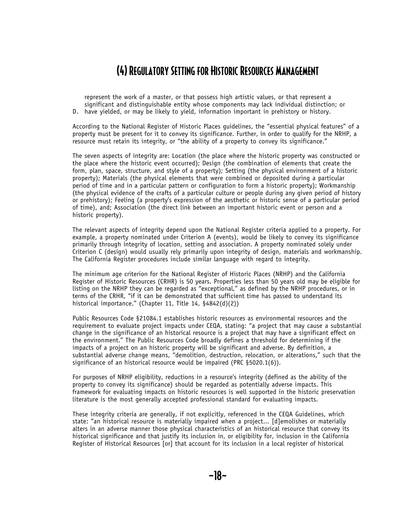represent the work of a master, or that possess high artistic values, or that represent a significant and distinguishable entity whose components may lack individual distinction; or D. have yielded, or may be likely to yield, information important in prehistory or history.

According to the National Register of Historic Places guidelines, the "essential physical features" of a property must be present for it to convey its significance. Further, in order to qualify for the NRHP, a resource must retain its integrity, or "the ability of a property to convey its significance."

The seven aspects of integrity are: Location (the place where the historic property was constructed or the place where the historic event occurred); Design (the combination of elements that create the form, plan, space, structure, and style of a property); Setting (the physical environment of a historic property); Materials (the physical elements that were combined or deposited during a particular period of time and in a particular pattern or configuration to form a historic property); Workmanship (the physical evidence of the crafts of a particular culture or people during any given period of history or prehistory); Feeling (a property's expression of the aesthetic or historic sense of a particular period of time), and; Association (the direct link between an important historic event or person and a historic property).

The relevant aspects of integrity depend upon the National Register criteria applied to a property. For example, a property nominated under Criterion A (events), would be likely to convey its significance primarily through integrity of location, setting and association. A property nominated solely under Criterion C (design) would usually rely primarily upon integrity of design, materials and workmanship. The California Register procedures include similar language with regard to integrity.

The minimum age criterion for the National Register of Historic Places (NRHP) and the California Register of Historic Resources (CRHR) is 50 years. Properties less than 50 years old may be eligible for listing on the NRHP they can be regarded as "exceptional," as defined by the NRHP procedures, or in terms of the CRHR, "if it can be demonstrated that sufficient time has passed to understand its historical importance." (Chapter 11, Title 14, §4842(d)(2))

Public Resources Code §21084.1 establishes historic resources as environmental resources and the requirement to evaluate project impacts under CEQA, stating: "a project that may cause a substantial change in the significance of an historical resource is a project that may have a significant effect on the environment." The Public Resources Code broadly defines a threshold for determining if the impacts of a project on an historic property will be significant and adverse. By definition, a substantial adverse change means, "demolition, destruction, relocation, or alterations," such that the significance of an historical resource would be impaired (PRC §5020.1(6)).

For purposes of NRHP eligibility, reductions in a resource's integrity (defined as the ability of the property to convey its significance) should be regarded as potentially adverse impacts. This framework for evaluating impacts on historic resources is well supported in the historic preservation literature is the most generally accepted professional standard for evaluating impacts.

These integrity criteria are generally, if not explicitly, referenced in the CEQA Guidelines, which state: "an historical resource is materially impaired when a project... [d]emolishes or materially alters in an adverse manner those physical characteristics of an historical resource that convey its historical significance and that justify its inclusion in, or eligibility for, inclusion in the California Register of Historical Resources [or] that account for its inclusion in a local register of historical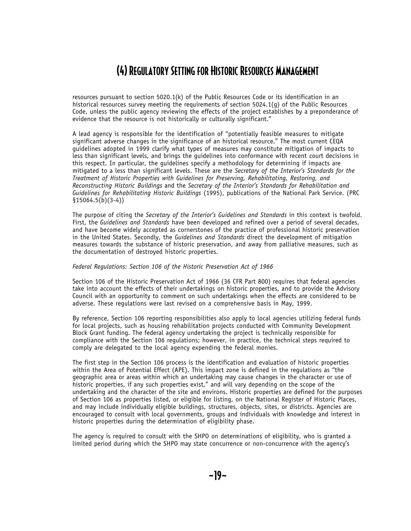resources pursuant to section 5020.1(k) of the Public Resources Code or its identification in an historical resources survey meeting the requirements of section 5024.1(g) of the Public Resources Code, unless the public agency reviewing the effects of the project establishes by a preponderance of evidence that the resource is not historically or culturally significant."

A lead agency is responsible for the identification of "potentially feasible measures to mitigate significant adverse changes in the significance of an historical resource." The most current CEQA guidelines adopted in 1999 clarify what types of measures may constitute mitigation of impacts to less than significant levels, and brings the guidelines into conformance with recent court decisions in this respect. In particular, the guidelines specify a methodology for determining if impacts are mitigated to a less than significant levels. These are the *Secretary of the Interior's Standards for the Treatment of Historic Properties with Guidelines for Preserving, Rehabilitating, Restoring, and Reconstructing Historic Buildings* and the *Secretary of the Interior's Standards for Rehabilitation and Guidelines for Rehabilitating Historic Buildings* (1995), publications of the National Park Service. (PRC  $§15064.5(b)(3-4))$ 

The purpose of citing the *Secretary of the Interior's Guidelines and Standards* in this context is twofold. First, the *Guidelines and Standards* have been developed and refined over a period of several decades, and have become widely accepted as cornerstones of the practice of professional historic preservation in the United States. Secondly, the *Guidelines and Standards* direct the development of mitigation measures towards the substance of historic preservation, and away from palliative measures, such as the documentation of destroyed historic properties.

#### *Federal Regulations: Section 106 of the Historic Preservation Act of 1966*

Section 106 of the Historic Preservation Act of 1966 (36 CFR Part 800) requires that federal agencies take into account the effects of their undertakings on historic properties, and to provide the Advisory Council with an opportunity to comment on such undertakings when the effects are considered to be adverse. These regulations were last revised on a comprehensive basis in May, 1999.

By reference, Section 106 reporting responsibilities also apply to local agencies utilizing federal funds for local projects, such as housing rehabilitation projects conducted with Community Development Block Grant funding. The federal agency undertaking the project is technically responsible for compliance with the Section 106 regulations; however, in practice, the technical steps required to comply are delegated to the local agency expending the federal monies.

The first step in the Section 106 process is the identification and evaluation of historic properties within the Area of Potential Effect (APE). This impact zone is defined in the regulations as "the geographic area or areas within which an undertaking may cause changes in the character or use of historic properties, if any such properties exist," and will vary depending on the scope of the undertaking and the character of the site and environs. Historic properties are defined for the purposes of Section 106 as properties listed, or eligible for listing, on the National Register of Historic Places, and may include individually eligible buildings, structures, objects, sites, or districts. Agencies are encouraged to consult with local governments, groups and individuals with knowledge and interest in historic properties during the determination of eligibility phase.

The agency is required to consult with the SHPO on determinations of eligibility, who is granted a limited period during which the SHPO may state concurrence or non-concurrence with the agency's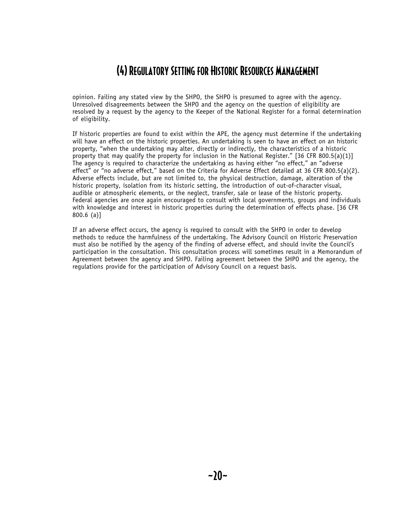opinion. Failing any stated view by the SHPO, the SHPO is presumed to agree with the agency. Unresolved disagreements between the SHPO and the agency on the question of eligibility are resolved by a request by the agency to the Keeper of the National Register for a formal determination of eligibility.

If historic properties are found to exist within the APE, the agency must determine if the undertaking will have an effect on the historic properties. An undertaking is seen to have an effect on an historic property, "when the undertaking may alter, directly or indirectly, the characteristics of a historic property that may qualify the property for inclusion in the National Register." [36 CFR 800.5(a)(1)] The agency is required to characterize the undertaking as having either "no effect," an "adverse effect" or "no adverse effect," based on the Criteria for Adverse Effect detailed at 36 CFR 800.5(a)(2). Adverse effects include, but are not limited to, the physical destruction, damage, alteration of the historic property, isolation from its historic setting, the introduction of out-of-character visual, audible or atmospheric elements, or the neglect, transfer, sale or lease of the historic property. Federal agencies are once again encouraged to consult with local governments, groups and individuals with knowledge and interest in historic properties during the determination of effects phase. [36 CFR 800.6 (a)]

If an adverse effect occurs, the agency is required to consult with the SHPO in order to develop methods to reduce the harmfulness of the undertaking. The Advisory Council on Historic Preservation must also be notified by the agency of the finding of adverse effect, and should invite the Council's participation in the consultation. This consultation process will sometimes result in a Memorandum of Agreement between the agency and SHPO. Failing agreement between the SHPO and the agency, the regulations provide for the participation of Advisory Council on a request basis.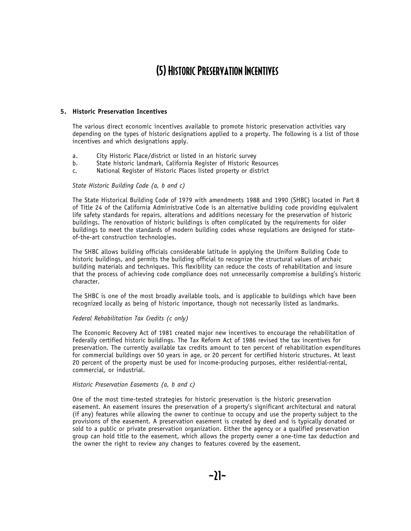### (5) Historic Preservation Incentives

#### **5. Historic Preservation Incentives**

The various direct economic incentives available to promote historic preservation activities vary depending on the types of historic designations applied to a property. The following is a list of those incentives and which designations apply.

- a. City Historic Place/district or listed in an historic survey
- b. State historic landmark, California Register of Historic Resources
- c. National Register of Historic Places listed property or district

#### *State Historic Building Code (a, b and c)*

The State Historical Building Code of 1979 with amendments 1988 and 1990 (SHBC) located in Part 8 of Title 24 of the California Administrative Code is an alternative building code providing equivalent life safety standards for repairs, alterations and additions necessary for the preservation of historic buildings. The renovation of historic buildings is often complicated by the requirements for older buildings to meet the standards of modern building codes whose regulations are designed for stateof-the-art construction technologies.

The SHBC allows building officials considerable latitude in applying the Uniform Building Code to historic buildings, and permits the building official to recognize the structural values of archaic building materials and techniques. This flexibility can reduce the costs of rehabilitation and insure that the process of achieving code compliance does not unnecessarily compromise a building's historic character.

The SHBC is one of the most broadly available tools, and is applicable to buildings which have been recognized locally as being of historic importance, though not necessarily listed as landmarks.

#### *Federal Rehabilitation Tax Credits (c only)*

The Economic Recovery Act of 1981 created major new incentives to encourage the rehabilitation of Federally certified historic buildings. The Tax Reform Act of 1986 revised the tax incentives for preservation. The currently available tax credits amount to ten percent of rehabilitation expenditures for commercial buildings over 50 years in age, or 20 percent for certified historic structures. At least 20 percent of the property must be used for income-producing purposes, either residential-rental, commercial, or industrial.

#### *Historic Preservation Easements (a, b and c)*

One of the most time-tested strategies for historic preservation is the historic preservation easement. An easement insures the preservation of a property's significant architectural and natural (if any) features while allowing the owner to continue to occupy and use the property subject to the provisions of the easement. A preservation easement is created by deed and is typically donated or sold to a public or private preservation organization. Either the agency or a qualified preservation group can hold title to the easement, which allows the property owner a one-time tax deduction and the owner the right to review any changes to features covered by the easement.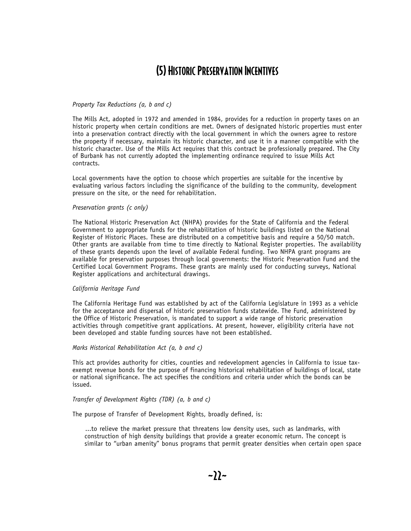### (5) Historic Preservation Incentives

#### *Property Tax Reductions (a, b and c)*

The Mills Act, adopted in 1972 and amended in 1984, provides for a reduction in property taxes on an historic property when certain conditions are met. Owners of designated historic properties must enter into a preservation contract directly with the local government in which the owners agree to restore the property if necessary, maintain its historic character, and use it in a manner compatible with the historic character. Use of the Mills Act requires that this contract be professionally prepared. The City of Burbank has not currently adopted the implementing ordinance required to issue Mills Act contracts.

Local governments have the option to choose which properties are suitable for the incentive by evaluating various factors including the significance of the building to the community, development pressure on the site, or the need for rehabilitation.

#### *Preservation grants (c only)*

The National Historic Preservation Act (NHPA) provides for the State of California and the Federal Government to appropriate funds for the rehabilitation of historic buildings listed on the National Register of Historic Places. These are distributed on a competitive basis and require a 50/50 match. Other grants are available from time to time directly to National Register properties. The availability of these grants depends upon the level of available Federal funding. Two NHPA grant programs are available for preservation purposes through local governments: the Historic Preservation Fund and the Certified Local Government Programs. These grants are mainly used for conducting surveys, National Register applications and architectural drawings.

#### *California Heritage Fund*

The California Heritage Fund was established by act of the California Legislature in 1993 as a vehicle for the acceptance and dispersal of historic preservation funds statewide. The Fund, administered by the Office of Historic Preservation, is mandated to support a wide range of historic preservation activities through competitive grant applications. At present, however, eligibility criteria have not been developed and stable funding sources have not been established.

#### *Marks Historical Rehabilitation Act (a, b and c)*

This act provides authority for cities, counties and redevelopment agencies in California to issue taxexempt revenue bonds for the purpose of financing historical rehabilitation of buildings of local, state or national significance. The act specifies the conditions and criteria under which the bonds can be issued.

#### *Transfer of Development Rights (TDR) (a, b and c)*

The purpose of Transfer of Development Rights, broadly defined, is:

...to relieve the market pressure that threatens low density uses, such as landmarks, with construction of high density buildings that provide a greater economic return. The concept is similar to "urban amenity" bonus programs that permit greater densities when certain open space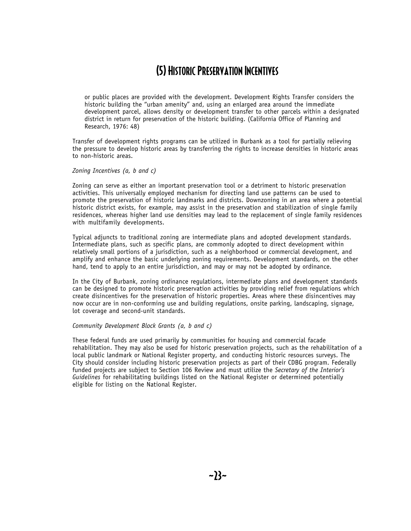### (5) Historic Preservation Incentives

or public places are provided with the development. Development Rights Transfer considers the historic building the "urban amenity" and, using an enlarged area around the immediate development parcel, allows density or development transfer to other parcels within a designated district in return for preservation of the historic building. (California Office of Planning and Research, 1976: 48)

Transfer of development rights programs can be utilized in Burbank as a tool for partially relieving the pressure to develop historic areas by transferring the rights to increase densities in historic areas to non-historic areas.

#### *Zoning Incentives (a, b and c)*

Zoning can serve as either an important preservation tool or a detriment to historic preservation activities. This universally employed mechanism for directing land use patterns can be used to promote the preservation of historic landmarks and districts. Downzoning in an area where a potential historic district exists, for example, may assist in the preservation and stabilization of single family residences, whereas higher land use densities may lead to the replacement of single family residences with multifamily developments.

Typical adjuncts to traditional zoning are intermediate plans and adopted development standards. Intermediate plans, such as specific plans, are commonly adopted to direct development within relatively small portions of a jurisdiction, such as a neighborhood or commercial development, and amplify and enhance the basic underlying zoning requirements. Development standards, on the other hand, tend to apply to an entire jurisdiction, and may or may not be adopted by ordinance.

In the City of Burbank, zoning ordinance regulations, intermediate plans and development standards can be designed to promote historic preservation activities by providing relief from regulations which create disincentives for the preservation of historic properties. Areas where these disincentives may now occur are in non-conforming use and building regulations, onsite parking, landscaping, signage, lot coverage and second-unit standards.

### *Community Development Block Grants (a, b and c)*

These federal funds are used primarily by communities for housing and commercial facade rehabilitation. They may also be used for historic preservation projects, such as the rehabilitation of a local public landmark or National Register property, and conducting historic resources surveys. The City should consider including historic preservation projects as part of their CDBG program. Federally funded projects are subject to Section 106 Review and must utilize the *Secretary of the Interior's Guidelines* for rehabilitating buildings listed on the National Register or determined potentially eligible for listing on the National Register.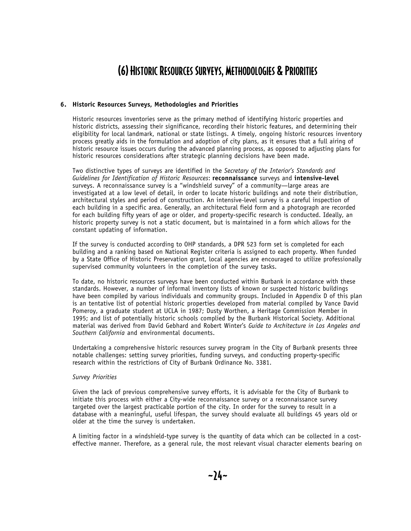### (6) Historic Resources Surveys, Methodologies & Priorities

### **6. Historic Resources Surveys, Methodologies and Priorities**

Historic resources inventories serve as the primary method of identifying historic properties and historic districts, assessing their significance, recording their historic features, and determining their eligibility for local landmark, national or state listings. A timely, ongoing historic resources inventory process greatly aids in the formulation and adoption of city plans, as it ensures that a full airing of historic resource issues occurs during the advanced planning process, as opposed to adjusting plans for historic resources considerations after strategic planning decisions have been made.

Two distinctive types of surveys are identified in the *Secretary of the Interior's Standards and Guidelines for Identification of Historic Resources*: **reconnaissance** surveys and **intensive-level** surveys. A reconnaissance survey is a "windshield survey" of a community—large areas are investigated at a low level of detail, in order to locate historic buildings and note their distribution, architectural styles and period of construction. An intensive-level survey is a careful inspection of each building in a specific area. Generally, an architectural field form and a photograph are recorded for each building fifty years of age or older, and property-specific research is conducted. Ideally, an historic property survey is not a static document, but is maintained in a form which allows for the constant updating of information.

If the survey is conducted according to OHP standards, a DPR 523 form set is completed for each building and a ranking based on National Register criteria is assigned to each property. When funded by a State Office of Historic Preservation grant, local agencies are encouraged to utilize professionally supervised community volunteers in the completion of the survey tasks.

To date, no historic resources surveys have been conducted within Burbank in accordance with these standards. However, a number of informal inventory lists of known or suspected historic buildings have been compiled by various individuals and community groups. Included in Appendix D of this plan is an tentative list of potential historic properties developed from material compiled by Vance David Pomeroy, a graduate student at UCLA in 1987; Dusty Worthen, a Heritage Commission Member in 1995; and list of potentially historic schools complied by the Burbank Historical Society. Additional material was derived from David Gebhard and Robert Winter's *Guide to Architecture in Los Angeles and Southern California* and environmental documents.

Undertaking a comprehensive historic resources survey program in the City of Burbank presents three notable challenges: setting survey priorities, funding surveys, and conducting property-specific research within the restrictions of City of Burbank Ordinance No. 3381.

### *Survey Priorities*

Given the lack of previous comprehensive survey efforts, it is advisable for the City of Burbank to initiate this process with either a City-wide reconnaissance survey or a reconnaissance survey targeted over the largest practicable portion of the city. In order for the survey to result in a database with a meaningful, useful lifespan, the survey should evaluate all buildings 45 years old or older at the time the survey is undertaken.

A limiting factor in a windshield-type survey is the quantity of data which can be collected in a costeffective manner. Therefore, as a general rule, the most relevant visual character elements bearing on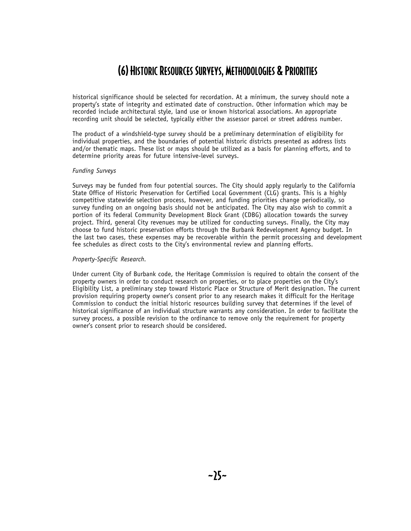### (6) Historic Resources Surveys, Methodologies & Priorities

historical significance should be selected for recordation. At a minimum, the survey should note a property's state of integrity and estimated date of construction. Other information which may be recorded include architectural style, land use or known historical associations. An appropriate recording unit should be selected, typically either the assessor parcel or street address number.

The product of a windshield-type survey should be a preliminary determination of eligibility for individual properties, and the boundaries of potential historic districts presented as address lists and/or thematic maps. These list or maps should be utilized as a basis for planning efforts, and to determine priority areas for future intensive-level surveys.

#### *Funding Surveys*

Surveys may be funded from four potential sources. The City should apply regularly to the California State Office of Historic Preservation for Certified Local Government (CLG) grants. This is a highly competitive statewide selection process, however, and funding priorities change periodically, so survey funding on an ongoing basis should not be anticipated. The City may also wish to commit a portion of its federal Community Development Block Grant (CDBG) allocation towards the survey project. Third, general City revenues may be utilized for conducting surveys. Finally, the City may choose to fund historic preservation efforts through the Burbank Redevelopment Agency budget. In the last two cases, these expenses may be recoverable within the permit processing and development fee schedules as direct costs to the City's environmental review and planning efforts.

#### *Property-Specific Research.*

Under current City of Burbank code, the Heritage Commission is required to obtain the consent of the property owners in order to conduct research on properties, or to place properties on the City's Eligibility List, a preliminary step toward Historic Place or Structure of Merit designation. The current provision requiring property owner's consent prior to any research makes it difficult for the Heritage Commission to conduct the initial historic resources building survey that determines if the level of historical significance of an individual structure warrants any consideration. In order to facilitate the survey process, a possible revision to the ordinance to remove only the requirement for property owner's consent prior to research should be considered.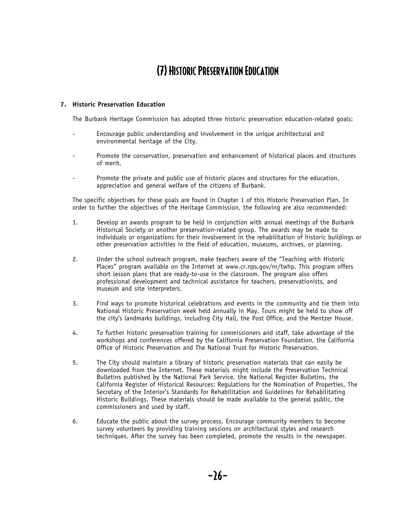### (7) Historic Preservation Education

### **7. Historic Preservation Education**

The Burbank Heritage Commission has adopted three historic preservation education-related goals:

- Encourage public understanding and involvement in the unique architectural and environmental heritage of the City.
- Promote the conservation, preservation and enhancement of historical places and structures of merit.
- Promote the private and public use of historic places and structures for the education, appreciation and general welfare of the citizens of Burbank.

The specific objectives for these goals are found in Chapter 1 of this Historic Preservation Plan. In order to further the objectives of the Heritage Commission, the following are also recommended:

- 1. Develop an awards program to be held in conjunction with annual meetings of the Burbank Historical Society or another preservation-related group. The awards may be made to individuals or organizations for their involvement in the rehabilitation of historic buildings or other preservation activities in the field of education, museums, archives, or planning.
- 2. Under the school outreach program, make teachers aware of the "Teaching with Historic Places" program available on the Internet at www.cr.nps.gov/nr/twhp. This program offers short lesson plans that are ready-to-use in the classroom. The program also offers professional development and technical assistance for teachers, preservationists, and museum and site interpreters.
- 3. Find ways to promote historical celebrations and events in the community and tie them into National Historic Preservation week held annually in May. Tours might be held to show off the city's landmarks buildings, including City Hall, the Post Office, and the Mentzer House.
- 4. To further historic preservation training for commissioners and staff, take advantage of the workshops and conferences offered by the California Preservation Foundation, the California Office of Historic Preservation and The National Trust for Historic Preservation.
- 5. The City should maintain a library of historic preservation materials that can easily be downloaded from the Internet. These materials might include the Preservation Technical Bulletins published by the National Park Service, the National Register Bulletins, the California Register of Historical Resources: Regulations for the Nomination of Properties, The Secretary of the Interior's Standards for Rehabilitation and Guidelines for Rehabilitating Historic Buildings. These materials should be made available to the general public, the commissioners and used by staff.
- 6. Educate the public about the survey process. Encourage community members to become survey volunteers by providing training sessions on architectural styles and research techniques. After the survey has been completed, promote the results in the newspaper.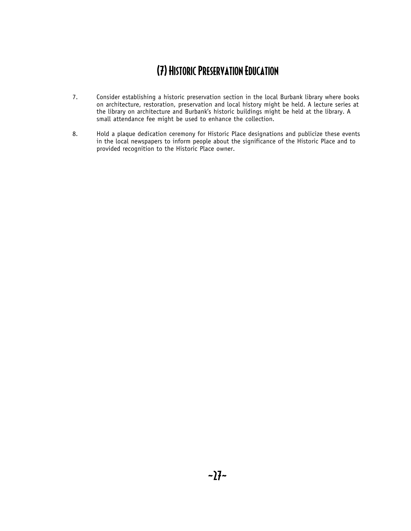### (7) Historic Preservation Education

- 7. Consider establishing a historic preservation section in the local Burbank library where books on architecture, restoration, preservation and local history might be held. A lecture series at the library on architecture and Burbank's historic buildings might be held at the library. A small attendance fee might be used to enhance the collection.
- 8. Hold a plaque dedication ceremony for Historic Place designations and publicize these events in the local newspapers to inform people about the significance of the Historic Place and to provided recognition to the Historic Place owner.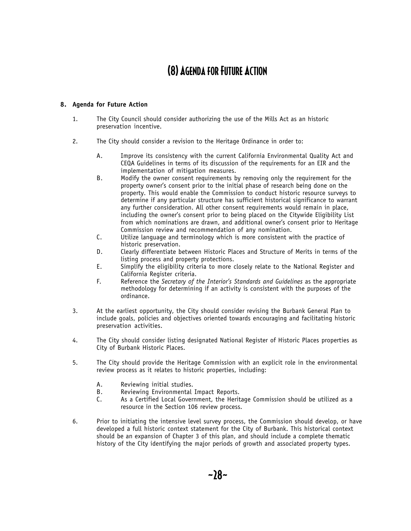### (8) Agenda for Future Action

### **8. Agenda for Future Action**

- 1. The City Council should consider authorizing the use of the Mills Act as an historic preservation incentive.
- 2. The City should consider a revision to the Heritage Ordinance in order to:
	- A. Improve its consistency with the current California Environmental Quality Act and CEQA Guidelines in terms of its discussion of the requirements for an EIR and the implementation of mitigation measures.
	- B. Modify the owner consent requirements by removing only the requirement for the property owner's consent prior to the initial phase of research being done on the property. This would enable the Commission to conduct historic resource surveys to determine if any particular structure has sufficient historical significance to warrant any further consideration. All other consent requirements would remain in place, including the owner's consent prior to being placed on the Citywide Eligibility List from which nominations are drawn, and additional owner's consent prior to Heritage Commission review and recommendation of any nomination.
	- C. Utilize language and terminology which is more consistent with the practice of historic preservation.
	- D. Clearly differentiate between Historic Places and Structure of Merits in terms of the listing process and property protections.
	- E. Simplify the eligibility criteria to more closely relate to the National Register and California Register criteria.
	- F. Reference the *Secretary of the Interior's Standards and Guidelines* as the appropriate methodology for determining if an activity is consistent with the purposes of the ordinance.
- 3. At the earliest opportunity, the City should consider revising the Burbank General Plan to include goals, policies and objectives oriented towards encouraging and facilitating historic preservation activities.
- 4. The City should consider listing designated National Register of Historic Places properties as City of Burbank Historic Places.
- 5. The City should provide the Heritage Commission with an explicit role in the environmental review process as it relates to historic properties, including:
	- A. Reviewing initial studies.<br>B. Reviewing Environmental
	- Reviewing Environmental Impact Reports.
	- C. As a Certified Local Government, the Heritage Commission should be utilized as a resource in the Section 106 review process.
- 6. Prior to initiating the intensive level survey process, the Commission should develop, or have developed a full historic context statement for the City of Burbank. This historical context should be an expansion of Chapter 3 of this plan, and should include a complete thematic history of the City identifying the major periods of growth and associated property types.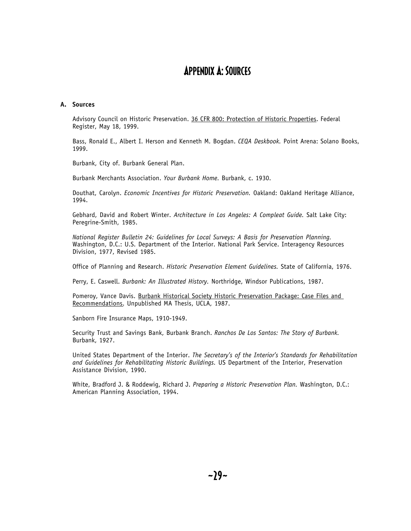### Appendix A: Sources

#### **A. Sources**

Advisory Council on Historic Preservation. 36 CFR 800: Protection of Historic Properties. Federal Register, May 18, 1999.

Bass, Ronald E., Albert I. Herson and Kenneth M. Bogdan. *CEQA Deskbook.* Point Arena: Solano Books, 1999.

Burbank, City of. Burbank General Plan.

Burbank Merchants Association. *Your Burbank Home.* Burbank, c. 1930.

Douthat, Carolyn. *Economic Incentives for Historic Preservation.* Oakland: Oakland Heritage Alliance, 1994.

Gebhard, David and Robert Winter. *Architecture in Los Angeles: A Compleat Guide.* Salt Lake City: Peregrine-Smith, 1985.

*National Register Bulletin 24: Guidelines for Local Surveys: A Basis for Preservation Planning.* Washington, D.C.: U.S. Department of the Interior. National Park Service. Interagency Resources Division, 1977, Revised 1985.

Office of Planning and Research. *Historic Preservation Element Guidelines.* State of California, 1976.

Perry, E. Caswell. *Burbank: An Illustrated History.* Northridge, Windsor Publications, 1987.

Pomeroy, Vance Davis. Burbank Historical Society Historic Preservation Package: Case Files and Recommendations. Unpublished MA Thesis, UCLA, 1987.

Sanborn Fire Insurance Maps, 1910-1949.

Security Trust and Savings Bank, Burbank Branch. *Ranchos De Los Santos: The Story of Burbank.*  Burbank, 1927.

United States Department of the Interior. *The Secretary's of the Interior's Standards for Rehabilitation and Guidelines for Rehabilitating Historic Buildings.* US Department of the Interior, Preservation Assistance Division, 1990.

White, Bradford J. & Roddewig, Richard J. *Preparing a Historic Preservation Plan.* Washington, D.C.: American Planning Association, 1994.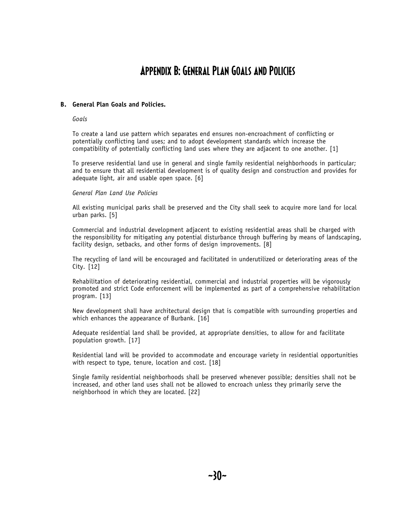### Appendix B: General Plan Goals and Policies

### **B. General Plan Goals and Policies.**

#### *Goals*

To create a land use pattern which separates end ensures non-encroachment of conflicting or potentially conflicting land uses; and to adopt development standards which increase the compatibility of potentially conflicting land uses where they are adjacent to one another. [1]

To preserve residential land use in general and single family residential neighborhoods in particular; and to ensure that all residential development is of quality design and construction and provides for adequate light, air and usable open space. [6]

#### *General Plan Land Use Policies*

All existing municipal parks shall be preserved and the City shall seek to acquire more land for local urban parks. [5]

Commercial and industrial development adjacent to existing residential areas shall be charged with the responsibility for mitigating any potential disturbance through buffering by means of landscaping, facility design, setbacks, and other forms of design improvements. [8]

The recycling of land will be encouraged and facilitated in underutilized or deteriorating areas of the City. [12]

Rehabilitation of deteriorating residential, commercial and industrial properties will be vigorously promoted and strict Code enforcement will be implemented as part of a comprehensive rehabilitation program. [13]

New development shall have architectural design that is compatible with surrounding properties and which enhances the appearance of Burbank. [16]

Adequate residential land shall be provided, at appropriate densities, to allow for and facilitate population growth. [17]

Residential land will be provided to accommodate and encourage variety in residential opportunities with respect to type, tenure, location and cost. [18]

Single family residential neighborhoods shall be preserved whenever possible; densities shall not be increased, and other land uses shall not be allowed to encroach unless they primarily serve the neighborhood in which they are located. [22]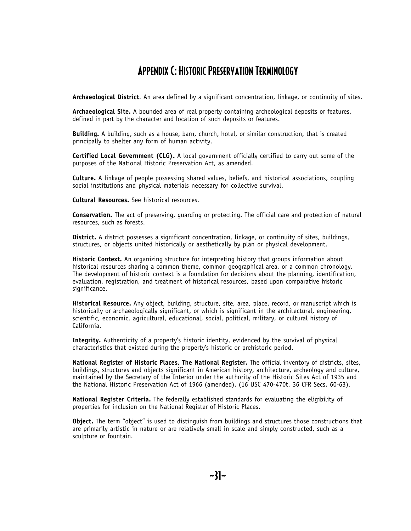### Appendix C: Historic Preservation Terminology

**Archaeological District**. An area defined by a significant concentration, linkage, or continuity of sites.

**Archaeological Site.** A bounded area of real property containing archeological deposits or features, defined in part by the character and location of such deposits or features.

**Building.** A building, such as a house, barn, church, hotel, or similar construction, that is created principally to shelter any form of human activity.

**Certified Local Government (CLG).** A local government officially certified to carry out some of the purposes of the National Historic Preservation Act, as amended.

**Culture.** A linkage of people possessing shared values, beliefs, and historical associations, coupling social institutions and physical materials necessary for collective survival.

**Cultural Resources.** See historical resources.

**Conservation.** The act of preserving, guarding or protecting. The official care and protection of natural resources, such as forests.

**District.** A district possesses a significant concentration, linkage, or continuity of sites, buildings, structures, or objects united historically or aesthetically by plan or physical development.

**Historic Context.** An organizing structure for interpreting history that groups information about historical resources sharing a common theme, common geographical area, or a common chronology. The development of historic context is a foundation for decisions about the planning, identification, evaluation, registration, and treatment of historical resources, based upon comparative historic significance.

**Historical Resource.** Any object, building, structure, site, area, place, record, or manuscript which is historically or archaeologically significant, or which is significant in the architectural, engineering, scientific, economic, agricultural, educational, social, political, military, or cultural history of California.

**Integrity.** Authenticity of a property's historic identity, evidenced by the survival of physical characteristics that existed during the property's historic or prehistoric period.

**National Register of Historic Places, The National Register.** The official inventory of districts, sites, buildings, structures and objects significant in American history, architecture, archeology and culture, maintained by the Secretary of the Interior under the authority of the Historic Sites Act of 1935 and the National Historic Preservation Act of 1966 (amended). (16 USC 470-470t. 36 CFR Secs. 60-63).

**National Register Criteria.** The federally established standards for evaluating the eligibility of properties for inclusion on the National Register of Historic Places.

**Object.** The term "object" is used to distinguish from buildings and structures those constructions that are primarily artistic in nature or are relatively small in scale and simply constructed, such as a sculpture or fountain.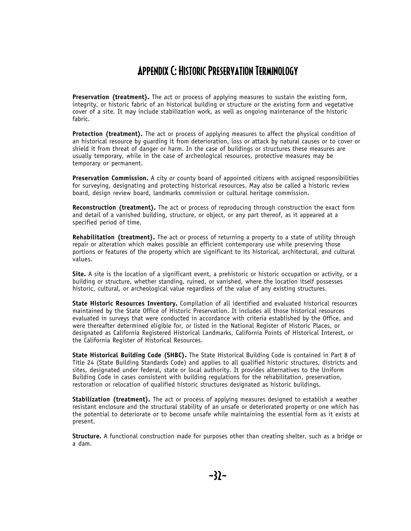### Appendix C: Historic Preservation Terminology

**Preservation (treatment).** The act or process of applying measures to sustain the existing form, integrity, or historic fabric of an historical building or structure or the existing form and vegetative cover of a site. It may include stabilization work, as well as ongoing maintenance of the historic fabric.

**Protection (treatment).** The act or process of applying measures to affect the physical condition of an historical resource by guarding it from deterioration, loss or attack by natural causes or to cover or shield it from threat of danger or harm. In the case of buildings or structures these measures are usually temporary, while in the case of archeological resources, protective measures may be temporary or permanent.

**Preservation Commission.** A city or county board of appointed citizens with assigned responsibilities for surveying, designating and protecting historical resources. May also be called a historic review board, design review board, landmarks commission or cultural heritage commission.

**Reconstruction (treatment).** The act or process of reproducing through construction the exact form and detail of a vanished building, structure, or object, or any part thereof, as it appeared at a specified period of time.

**Rehabilitation (treatment).** The act or process of returning a property to a state of utility through repair or alteration which makes possible an efficient contemporary use while preserving those portions or features of the property which are significant to its historical, architectural, and cultural values.

**Site.** A site is the location of a significant event, a prehistoric or historic occupation or activity, or a building or structure, whether standing, ruined, or vanished, where the location itself possesses historic, cultural, or archeological value regardless of the value of any existing structures.

**State Historic Resources Inventory.** Compilation of all identified and evaluated historical resources maintained by the State Office of Historic Preservation. It includes all those historical resources evaluated in surveys that were conducted in accordance with criteria established by the Office, and were thereafter determined eligible for, or listed in the National Register of Historic Places, or designated as California Registered Historical Landmarks, California Points of Historical Interest, or the California Register of Historical Resources.

**State Historical Building Code (SHBC).** The State Historical Building Code is contained in Part 8 of Title 24 (State Building Standards Code) and applies to all qualified historic structures, districts and sites, designated under federal, state or local authority. It provides alternatives to the Uniform Building Code in cases consistent with building regulations for the rehabilitation, preservation, restoration or relocation of qualified historic structures designated as historic buildings.

**Stabilization (treatment).** The act or process of applying measures designed to establish a weather resistant enclosure and the structural stability of an unsafe or deteriorated property or one which has the potential to deteriorate or to become unsafe while maintaining the essential form as it exists at present.

**Structure.** A functional construction made for purposes other than creating shelter, such as a bridge or a dam.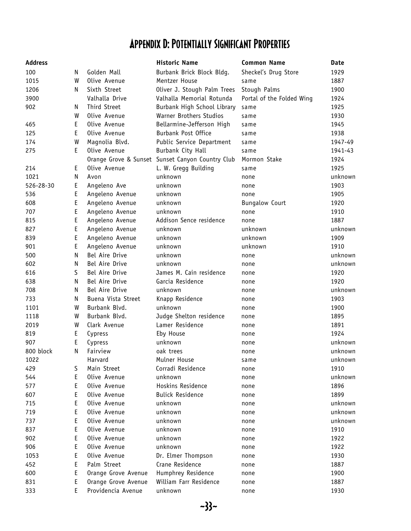### Appendix D: Potentially Significant Properties

| <b>Address</b> |    |                     | <b>Historic Name</b>                             | <b>Common Name</b>        | Date    |
|----------------|----|---------------------|--------------------------------------------------|---------------------------|---------|
| 100            | N. | Golden Mall         | Burbank Brick Block Bldg.                        | Sheckel's Drug Store      | 1929    |
| 1015           | W  | Olive Avenue        | Mentzer House                                    | same                      | 1887    |
| 1206           | N  | Sixth Street        | Oliver J. Stough Palm Trees                      | Stough Palms              | 1900    |
| 3900           |    | Valhalla Drive      | Valhalla Memorial Rotunda                        | Portal of the Folded Wing | 1924    |
| 902            | N  | Third Street        | Burbank High School Library                      | same                      | 1925    |
|                | W  | Olive Avenue        | Warner Brothers Studios                          | same                      | 1930    |
| 465            | E  | Olive Avenue        | Bellarmine-Jefferson High                        | same                      | 1945    |
| 125            | E  | Olive Avenue        | Burbank Post Office                              | same                      | 1938    |
| 174            | W  | Magnolia Blvd.      | Public Service Department                        | same                      | 1947-49 |
| 275            | E  | Olive Avenue        | Burbank City Hall                                | same                      | 1941-43 |
|                |    |                     | Orange Grove & Sunset Sunset Canyon Country Club | Mormon Stake              | 1924    |
| 214            | E  | Olive Avenue        | L. W. Gregg Building                             | same                      | 1925    |
| 1021           | Ν  | Avon                | unknown                                          | none                      | unknown |
| 526-28-30      | E  | Angeleno Ave        | unknown                                          | none                      | 1903    |
| 536            | E  | Angeleno Avenue     | unknown                                          | none                      | 1905    |
| 608            | E  | Angeleno Avenue     | unknown                                          | <b>Bungalow Court</b>     | 1920    |
| 707            | E  | Angeleno Avenue     | unknown                                          | none                      | 1910    |
| 815            | E  | Angeleno Avenue     | Addison Sence residence                          | none                      | 1887    |
| 827            | E  | Angeleno Avenue     | unknown                                          | unknown                   | unknown |
| 839            | E  | Angeleno Avenue     | unknown                                          | unknown                   | 1909    |
| 901            | E  | Angeleno Avenue     | unknown                                          | unknown                   | 1910    |
| 500            | N  | Bel Aire Drive      | unknown                                          | none                      | unknown |
| 602            | N  | Bel Aire Drive      | unknown                                          | none                      | unknown |
| 616            | S  | Bel Aire Drive      | James M. Cain residence                          | none                      | 1920    |
| 638            | N  | Bel Aire Drive      | Garcia Residence                                 | none                      | 1920    |
| 708            | N  | Bel Aire Drive      | unknown                                          | none                      | unknown |
| 733            | N  | Buena Vista Street  | Knapp Residence                                  | none                      | 1903    |
| 1101           | W  | Burbank Blvd.       | unknown                                          | none                      | 1900    |
| 1118           | W  | Burbank Blvd.       | Judge Shelton residence                          | none                      | 1895    |
| 2019           | W  | Clark Avenue        | Lamer Residence                                  | none                      | 1891    |
| 819            | E  | Cypress             | Eby House                                        | none                      | 1924    |
| 907            | E  | Cypress             | unknown                                          | none                      | unknown |
| 800 block      | N  | Fairview            | oak trees                                        | none                      | unknown |
| 1022           |    | Harvard             | Mulner House                                     | same                      | unknown |
| 429            | S  | Main Street         | Corradi Residence                                | none                      | 1910    |
| 544            | E  | Olive Avenue        | unknown                                          | none                      | unknown |
| 577            | Ε  | Olive Avenue        | Hoskins Residence                                | none                      | 1896    |
| 607            | E  | Olive Avenue        | <b>Bulick Residence</b>                          | none                      | 1899    |
| 715            | Ε  | Olive Avenue        | unknown                                          | none                      | unknown |
| 719            | E  | Olive Avenue        | unknown                                          | none                      | unknown |
| 737            | E  | Olive Avenue        | unknown                                          | none                      | unknown |
| 837            | Ε  | Olive Avenue        | unknown                                          | none                      | 1910    |
| 902            | E  | Olive Avenue        | unknown                                          | none                      | 1922    |
| 906            | Ε  | Olive Avenue        | unknown                                          | none                      | 1922    |
| 1053           | Ε  | Olive Avenue        | Dr. Elmer Thompson                               | none                      | 1930    |
| 452            | E  | Palm Street         | Crane Residence                                  | none                      | 1887    |
| 600            | E  | Orange Grove Avenue | Humphrey Residence                               | none                      | 1900    |
| 831            | E  | Orange Grove Avenue | William Farr Residence                           | none                      | 1887    |
| 333            | E  | Providencia Avenue  | unknown                                          | none                      | 1930    |
|                |    |                     |                                                  |                           |         |